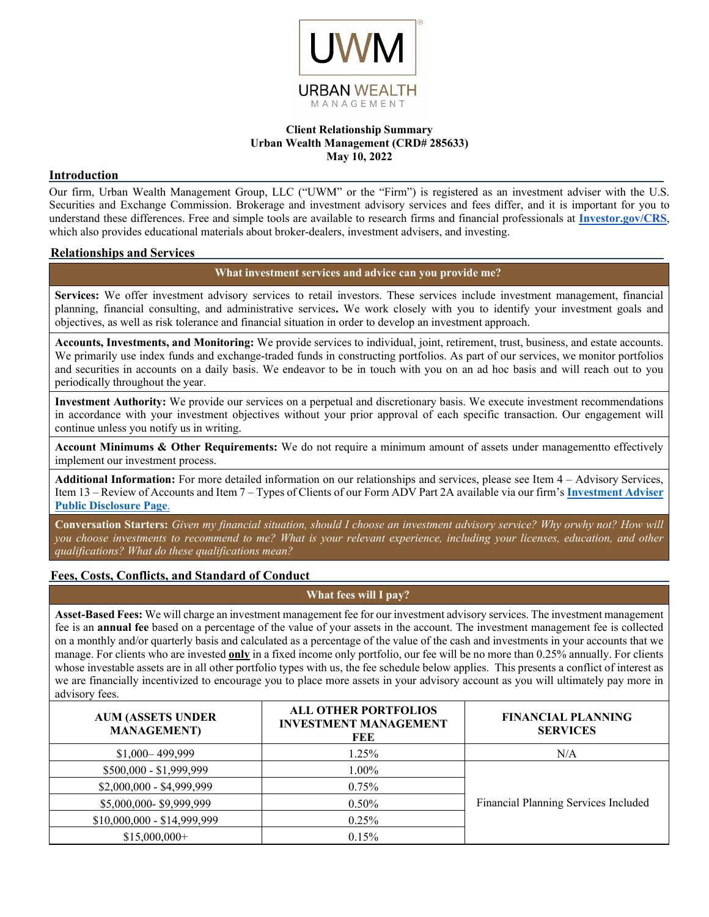

### **Client Relationship Summary Urban Wealth Management (CRD# 285633) May 10, 2022**

## **Introduction**

Our firm, Urban Wealth Management Group, LLC ("UWM" or the "Firm") is registered as an investment adviser with the U.S. Securities and Exchange Commission. Brokerage and investment advisory services and fees differ, and it is important for you to understand these differences. Free and simple tools are available to research firms and financial professionals at **[Investor.gov/CRS](http://investor.gov/CRS)**, which also provides educational materials about broker-dealers, investment advisers, and investing.

### **Relationships and Services**

**What investment services and advice can you provide me?**

**Services:** We offer investment advisory services to retail investors. These services include investment management, financial planning, financial consulting, and administrative services**.** We work closely with you to identify your investment goals and objectives, as well as risk tolerance and financial situation in order to develop an investment approach.

**Accounts, Investments, and Monitoring:** We provide services to individual, joint, retirement, trust, business, and estate accounts. We primarily use index funds and exchange-traded funds in constructing portfolios. As part of our services, we monitor portfolios and securities in accounts on a daily basis. We endeavor to be in touch with you on an ad hoc basis and will reach out to you periodically throughout the year.

**Investment Authority:** We provide our services on a perpetual and discretionary basis. We execute investment recommendations in accordance with your investment objectives without your prior approval of each specific transaction. Our engagement will continue unless you notify us in writing.

**Account Minimums & Other Requirements:** We do not require a minimum amount of assets under managementto effectively implement our investment process.

**Additional Information:** For more detailed information on our relationships and services, please see Item 4 – Advisory Services, Item 13 – Review of Accounts and Item 7 – Types of Clients of our Form ADV Part 2A available via our firm's **[Investment](https://adviserinfo.sec.gov/firm/summary/122728) Adviser Public [Disclosure](https://adviserinfo.sec.gov/firm/summary/122728) Page**.

**Conversation Starters:** *Given my financial situation, should I choose an investment advisory service? Why orwhy not? How will you choose investments to recommend to me? What is your relevant experience, including your licenses, education, and other qualifications? What do these qualifications mean?*

## **Fees, Costs, Conflicts, and Standard of Conduct**

**What fees will I pay?**

**Asset-Based Fees:** We will charge an investment management fee for our investment advisory services. The investment management fee is an **annual fee** based on a percentage of the value of your assets in the account. The investment management fee is collected on a monthly and/or quarterly basis and calculated as a percentage of the value of the cash and investments in your accounts that we manage. For clients who are invested **only** in a fixed income only portfolio, our fee will be no more than 0.25% annually. For clients whose investable assets are in all other portfolio types with us, the fee schedule below applies. This presents a conflict of interest as we are financially incentivized to encourage you to place more assets in your advisory account as you will ultimately pay more in advisory fees.

| <b>AUM (ASSETS UNDER</b><br><b>MANAGEMENT</b> ) | <b>ALL OTHER PORTFOLIOS</b><br><b>INVESTMENT MANAGEMENT</b><br>FEE | <b>FINANCIAL PLANNING</b><br><b>SERVICES</b> |
|-------------------------------------------------|--------------------------------------------------------------------|----------------------------------------------|
| $$1,000-499,999$                                | 1.25%                                                              | N/A                                          |
| \$500,000 - \$1,999,999                         | $1.00\%$                                                           |                                              |
| $$2,000,000 - $4,999,999$                       | $0.75\%$                                                           |                                              |
| \$5,000,000-\$9,999,999                         | $0.50\%$                                                           | Financial Planning Services Included         |
| $$10,000,000 - $14,999,999$                     | 0.25%                                                              |                                              |
| $$15,000,000+$                                  | $0.15\%$                                                           |                                              |